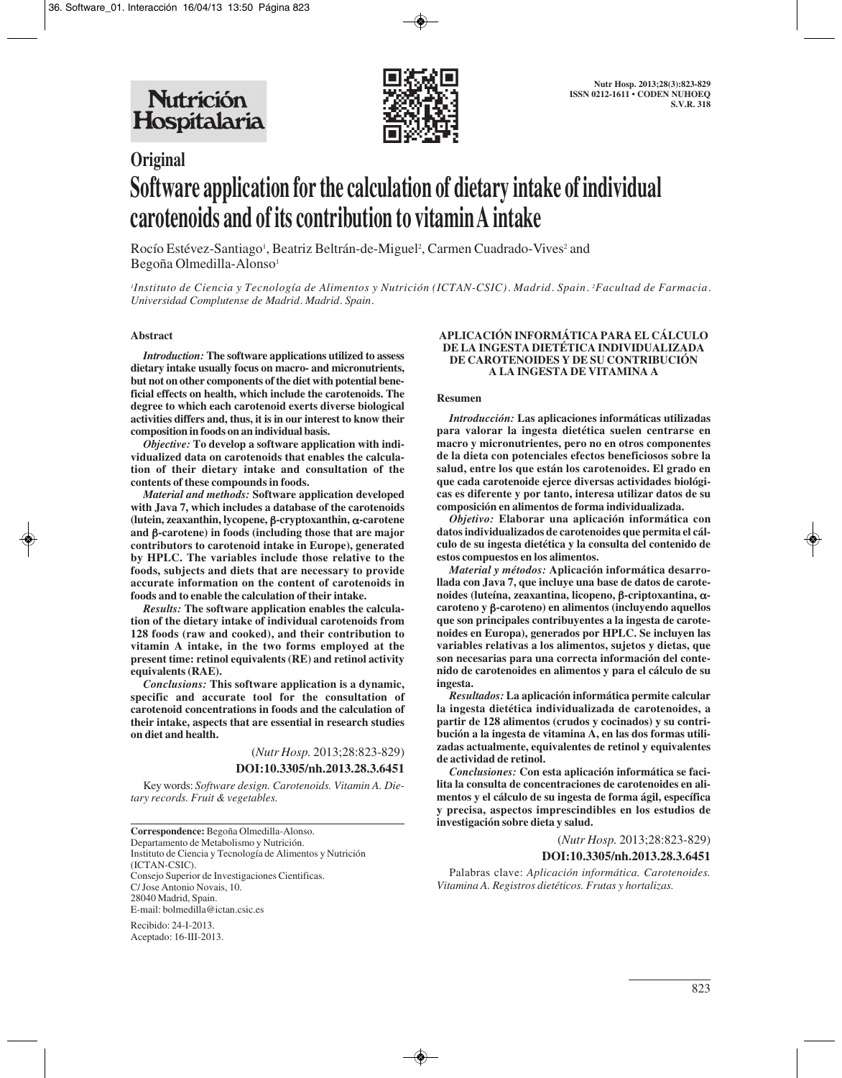

# **Original Software application for the calculation of dietary intake of individual carotenoids and of its contribution to vitamin A intake**

Rocío Estévez-Santiago<sup>1</sup>, Beatriz Beltrán-de-Miguel<sup>2</sup>, Carmen Cuadrado-Vives<sup>2</sup> and Begoña Olmedilla-Alonso<sup>1</sup>

*1 Instituto de Ciencia y Tecnología de Alimentos y Nutrición (ICTAN-CSIC). Madrid. Spain. 2 Facultad de Farmacia. Universidad Complutense de Madrid. Madrid. Spain.*

#### **Abstract**

*Introduction:* **The software applications utilized to assess dietary intake usually focus on macro- and micronutrients, but not on other components of the diet with potential beneficial effects on health, which include the carotenoids. The degree to which each carotenoid exerts diverse biological activities differs and, thus, it is in our interest to know their composition in foods on an individual basis.**

*Objective:* **To develop a software application with individualized data on carotenoids that enables the calculation of their dietary intake and consultation of the contents of these compounds in foods.**

*Material and methods:* **Software application developed with Java 7, which includes a database of the carotenoids (lutein, zeaxanthin, lycopene,** β**-cryptoxanthin,** α**-carotene and** β**-carotene) in foods (including those that are major contributors to carotenoid intake in Europe), generated by HPLC. The variables include those relative to the foods, subjects and diets that are necessary to provide accurate information on the content of carotenoids in foods and to enable the calculation of their intake.**

*Results:* **The software application enables the calculation of the dietary intake of individual carotenoids from 128 foods (raw and cooked), and their contribution to vitamin A intake, in the two forms employed at the present time: retinol equivalents (RE) and retinol activity equivalents (RAE).**

*Conclusions:* **This software application is a dynamic, specific and accurate tool for the consultation of carotenoid concentrations in foods and the calculation of their intake, aspects that are essential in research studies on diet and health.**

> (*Nutr Hosp.* 2013;28:823-829) **DOI:10.3305/nh.2013.28.3.6451**

Key words: *Software design. Carotenoids. Vitamin A. Dietary records. Fruit & vegetables.*

**Correspondence:** Begoña Olmedilla-Alonso. Departamento de Metabolismo y Nutrición. Instituto de Ciencia y Tecnología de Alimentos y Nutrición (ICTAN-CSIC). Consejo Superior de Investigaciones Cientificas. C/ Jose Antonio Novais, 10. 28040 Madrid, Spain. E-mail: bolmedilla@ictan.csic.es

Recibido: 24-I-2013. Aceptado: 16-III-2013.

#### **APLICACIÓN INFORMÁTICA PARA EL CÁLCULO DE LA INGESTA DIETÉTICA INDIVIDUALIZADA DE CAROTENOIDES Y DE SU CONTRIBUCIÓN A LA INGESTA DE VITAMINA A**

#### **Resumen**

*Introducción:* **Las aplicaciones informáticas utilizadas para valorar la ingesta dietética suelen centrarse en macro y micronutrientes, pero no en otros componentes de la dieta con potenciales efectos beneficiosos sobre la salud, entre los que están los carotenoides. El grado en que cada carotenoide ejerce diversas actividades biológicas es diferente y por tanto, interesa utilizar datos de su composición en alimentos de forma individualizada.** 

*Objetivo:* **Elaborar una aplicación informática con datos individualizados de carotenoides que permita el cálculo de su ingesta dietética y la consulta del contenido de estos compuestos en los alimentos.** 

*Material y métodos:* **Aplicación informática desarrollada con Java 7, que incluye una base de datos de carotenoides (luteína, zeaxantina, licopeno,** β**-criptoxantina,** α**caroteno y** β**-caroteno) en alimentos (incluyendo aquellos que son principales contribuyentes a la ingesta de carotenoides en Europa), generados por HPLC. Se incluyen las variables relativas a los alimentos, sujetos y dietas, que son necesarias para una correcta información del contenido de carotenoides en alimentos y para el cálculo de su ingesta.**

*Resultados:* **La aplicación informática permite calcular la ingesta dietética individualizada de carotenoides, a partir de 128 alimentos (crudos y cocinados) y su contribución a la ingesta de vitamina A, en las dos formas utilizadas actualmente, equivalentes de retinol y equivalentes de actividad de retinol.** 

*Conclusiones:* **Con esta aplicación informática se facilita la consulta de concentraciones de carotenoides en alimentos y el cálculo de su ingesta de forma ágil, específica y precisa, aspectos imprescindibles en los estudios de investigación sobre dieta y salud.**

> (*Nutr Hosp.* 2013;28:823-829) **DOI:10.3305/nh.2013.28.3.6451**

Palabras clave: *Aplicación informática. Carotenoides. Vitamina A. Registros dietéticos. Frutas y hortalizas.*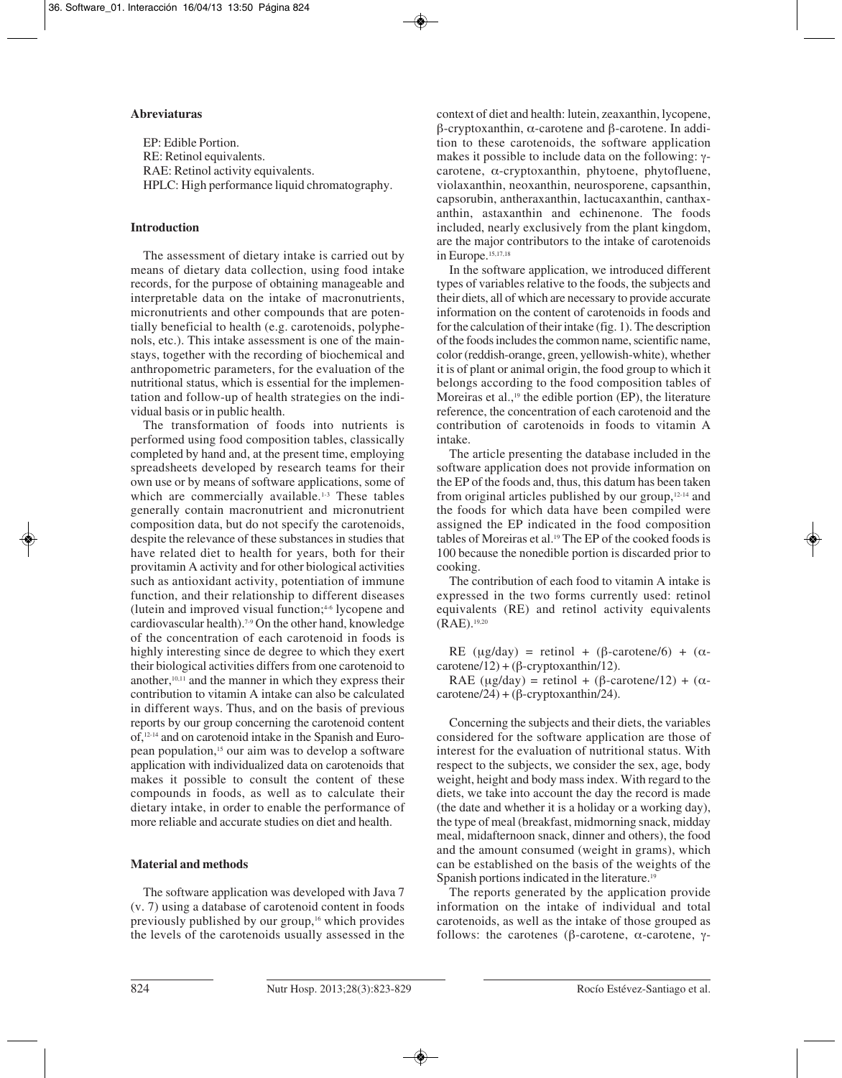#### **Abreviaturas**

EP: Edible Portion. RE: Retinol equivalents. RAE: Retinol activity equivalents. HPLC: High performance liquid chromatography.

# **Introduction**

The assessment of dietary intake is carried out by means of dietary data collection, using food intake records, for the purpose of obtaining manageable and interpretable data on the intake of macronutrients, micronutrients and other compounds that are potentially beneficial to health (e.g. carotenoids, polyphenols, etc.). This intake assessment is one of the mainstays, together with the recording of biochemical and anthropometric parameters, for the evaluation of the nutritional status, which is essential for the implementation and follow-up of health strategies on the individual basis or in public health.

The transformation of foods into nutrients is performed using food composition tables, classically completed by hand and, at the present time, employing spreadsheets developed by research teams for their own use or by means of software applications, some of which are commercially available.<sup>1-3</sup> These tables generally contain macronutrient and micronutrient composition data, but do not specify the carotenoids, despite the relevance of these substances in studies that have related diet to health for years, both for their provitamin A activity and for other biological activities such as antioxidant activity, potentiation of immune function, and their relationship to different diseases (lutein and improved visual function;4-6 lycopene and cardiovascular health).7-9 On the other hand, knowledge of the concentration of each carotenoid in foods is highly interesting since de degree to which they exert their biological activities differs from one carotenoid to another, $10,11$  and the manner in which they express their contribution to vitamin A intake can also be calculated in different ways. Thus, and on the basis of previous reports by our group concerning the carotenoid content of,12-14 and on carotenoid intake in the Spanish and European population,15 our aim was to develop a software application with individualized data on carotenoids that makes it possible to consult the content of these compounds in foods, as well as to calculate their dietary intake, in order to enable the performance of more reliable and accurate studies on diet and health.

# **Material and methods**

The software application was developed with Java 7 (v. 7) using a database of carotenoid content in foods previously published by our group,<sup>16</sup> which provides the levels of the carotenoids usually assessed in the context of diet and health: lutein, zeaxanthin, lycopene, β-cryptoxanthin, α-carotene and β-carotene. In addition to these carotenoids, the software application makes it possible to include data on the following: γcarotene, α-cryptoxanthin, phytoene, phytofluene, violaxanthin, neoxanthin, neurosporene, capsanthin, capsorubin, antheraxanthin, lactucaxanthin, canthaxanthin, astaxanthin and echinenone. The foods included, nearly exclusively from the plant kingdom, are the major contributors to the intake of carotenoids in Europe.<sup>15,17,18</sup>

In the software application, we introduced different types of variables relative to the foods, the subjects and their diets, all of which are necessary to provide accurate information on the content of carotenoids in foods and for the calculation of their intake (fig. 1). The description of the foods includes the common name, scientific name, color (reddish-orange, green, yellowish-white), whether it is of plant or animal origin, the food group to which it belongs according to the food composition tables of Moreiras et al.,<sup>19</sup> the edible portion (EP), the literature reference, the concentration of each carotenoid and the contribution of carotenoids in foods to vitamin A intake.

The article presenting the database included in the software application does not provide information on the EP of the foods and, thus, this datum has been taken from original articles published by our group,12-14 and the foods for which data have been compiled were assigned the EP indicated in the food composition tables of Moreiras et al.<sup>19</sup> The EP of the cooked foods is 100 because the nonedible portion is discarded prior to cooking.

The contribution of each food to vitamin A intake is expressed in the two forms currently used: retinol equivalents (RE) and retinol activity equivalents  $(RAE)$ .<sup>19,20</sup>

RE (μg/day) = retinol + ( $\beta$ -carotene/6) + ( $\alpha$  $c$ arotene/12) + ( $\beta$ -cryptoxanthin/12).

RAE (μg/day) = retinol + (β-carotene/12) + ( $\alpha$  $c$ arotene/24) + ( $\beta$ -cryptoxanthin/24).

Concerning the subjects and their diets, the variables considered for the software application are those of interest for the evaluation of nutritional status. With respect to the subjects, we consider the sex, age, body weight, height and body mass index. With regard to the diets, we take into account the day the record is made (the date and whether it is a holiday or a working day), the type of meal (breakfast, midmorning snack, midday meal, midafternoon snack, dinner and others), the food and the amount consumed (weight in grams), which can be established on the basis of the weights of the Spanish portions indicated in the literature.<sup>19</sup>

The reports generated by the application provide information on the intake of individual and total carotenoids, as well as the intake of those grouped as follows: the carotenes (β-carotene, α-carotene, γ-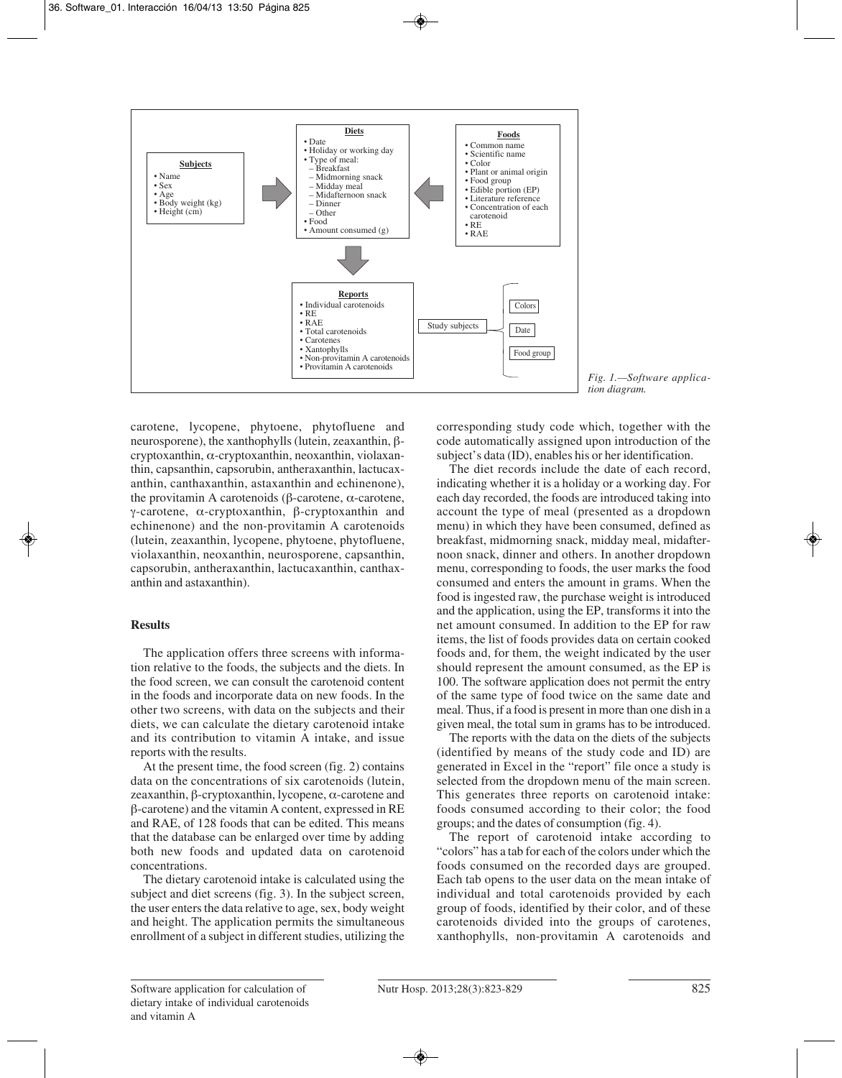

carotene, lycopene, phytoene, phytofluene and neurosporene), the xanthophylls (lutein, zeaxanthin, βcryptoxanthin, α-cryptoxanthin, neoxanthin, violaxanthin, capsanthin, capsorubin, antheraxanthin, lactucaxanthin, canthaxanthin, astaxanthin and echinenone), the provitamin A carotenoids (β-carotene, α-carotene, γ-carotene, α-cryptoxanthin, β-cryptoxanthin and echinenone) and the non-provitamin A carotenoids (lutein, zeaxanthin, lycopene, phytoene, phytofluene, violaxanthin, neoxanthin, neurosporene, capsanthin, capsorubin, antheraxanthin, lactucaxanthin, canthaxanthin and astaxanthin).

# **Results**

The application offers three screens with information relative to the foods, the subjects and the diets. In the food screen, we can consult the carotenoid content in the foods and incorporate data on new foods. In the other two screens, with data on the subjects and their diets, we can calculate the dietary carotenoid intake and its contribution to vitamin A intake, and issue reports with the results.

At the present time, the food screen (fig. 2) contains data on the concentrations of six carotenoids (lutein, zeaxanthin, β-cryptoxanthin, lycopene, α-carotene and β-carotene) and the vitamin A content, expressed in RE and RAE, of 128 foods that can be edited. This means that the database can be enlarged over time by adding both new foods and updated data on carotenoid concentrations.

The dietary carotenoid intake is calculated using the subject and diet screens (fig. 3). In the subject screen, the user enters the data relative to age, sex, body weight and height. The application permits the simultaneous enrollment of a subject in different studies, utilizing the

*Fig. 1.—Software application diagram.*

corresponding study code which, together with the code automatically assigned upon introduction of the subject's data (ID), enables his or her identification.

The diet records include the date of each record, indicating whether it is a holiday or a working day. For each day recorded, the foods are introduced taking into account the type of meal (presented as a dropdown menu) in which they have been consumed, defined as breakfast, midmorning snack, midday meal, midafternoon snack, dinner and others. In another dropdown menu, corresponding to foods, the user marks the food consumed and enters the amount in grams. When the food is ingested raw, the purchase weight is introduced and the application, using the EP, transforms it into the net amount consumed. In addition to the EP for raw items, the list of foods provides data on certain cooked foods and, for them, the weight indicated by the user should represent the amount consumed, as the EP is 100. The software application does not permit the entry of the same type of food twice on the same date and meal. Thus, if a food is present in more than one dish in a given meal, the total sum in grams has to be introduced.

The reports with the data on the diets of the subjects (identified by means of the study code and ID) are generated in Excel in the "report" file once a study is selected from the dropdown menu of the main screen. This generates three reports on carotenoid intake: foods consumed according to their color; the food groups; and the dates of consumption (fig. 4).

The report of carotenoid intake according to "colors" has a tab for each of the colors under which the foods consumed on the recorded days are grouped. Each tab opens to the user data on the mean intake of individual and total carotenoids provided by each group of foods, identified by their color, and of these carotenoids divided into the groups of carotenes, xanthophylls, non-provitamin A carotenoids and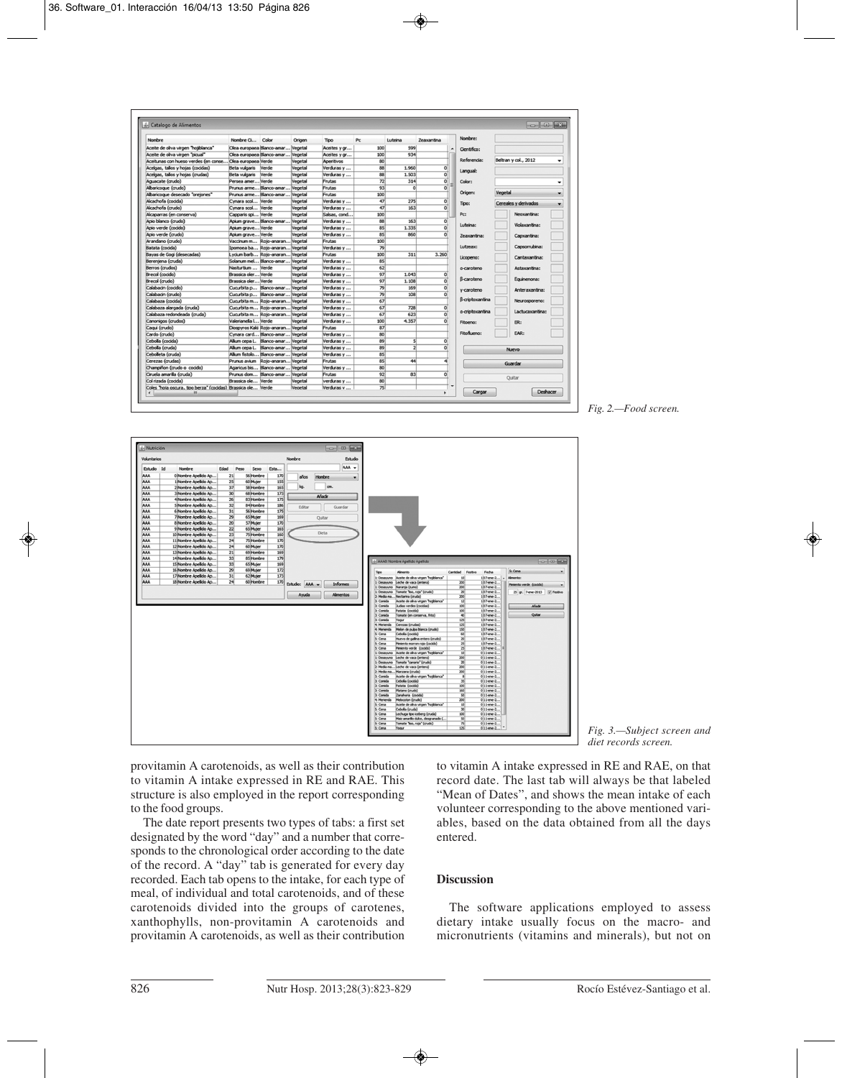| Nombre                                                       | Nombre G Color                     | Origen  | <b>Tipo</b>  | Pc  | Luteina        | Zeaxantina                | Nombre:                |                      |  |
|--------------------------------------------------------------|------------------------------------|---------|--------------|-----|----------------|---------------------------|------------------------|----------------------|--|
| Aceite de oliva virgen "hojiblanca"                          | Olea europaea Blanco-amar Vegetal  |         | Aceites y or | 100 | 599            | $\blacktriangle$          | Cientifico:            |                      |  |
| Aceite de oliva virgen "picual"                              | Olea europaea Blanco-amar Vegetal  |         | Aceites y or | 100 | 934            |                           |                        |                      |  |
| Aceitunas con hueso verdes (en conse Olea europaea Verde     |                                    | Vegetal | Aperitivos   | 80  |                |                           | Referencia:            | Beltran y col., 2012 |  |
| Acelgas, tallos y hojas (cocidas)                            | Beta vulgaris Verde                | Vegetal | Verduras y   | 88  | 1.960          | $\Omega$                  |                        |                      |  |
| Acelgas, tallos y hojas (crudas)                             | Beta vulgaris Verde                | Vegetal | Verduras v   | 88  | 1.503          | 히                         | Langual:               |                      |  |
| Aguacate (crudo)                                             | Persea amer Verde                  | Vegetal | Frutas       | 72  | 314            | 히                         | Color:                 |                      |  |
| Albaricoque (crudo)                                          | Prunus arme Blanco-amar Vegetal    |         | Frutas       | 93  | $\Omega$       | $\overline{0}$            |                        |                      |  |
| Albaricoque desecado "oreiones"                              | Prunus arme Blanco-amar Vegetal    |         | Frutas       | 100 |                |                           | Origen:                | Vegetal              |  |
| Alcachofa (cocida)                                           | Cynara scol Verde                  | Vegetal | Verduras y   | 47  | 275            | $\overline{\mathfrak{o}}$ | Tipo:                  | Cereales y derivados |  |
| Alcachofa (crudo)                                            | Cynara scol Verde                  | Vegetal | Verduras y   | 47  | 163            | 히                         |                        |                      |  |
| Alcaparras (en conserva)                                     | Capparis spi Verde                 | Vegetal | Salsas, cond | 100 |                |                           | Pc:                    | Neoxantina:          |  |
| Apio blanco (crudo)                                          | Apium grave Blanco-amar Vegetal    |         | Verduras y   | 88  | 163            | $\Omega$                  |                        |                      |  |
| Apio verde (cocido)                                          | Apium grave Verde                  | Vegetal | Verduras y   | 85  | 1.335          | $\Omega$                  | Luteina:               | Violaxantina:        |  |
| Apio verde (crudo)                                           | Apium grave Verde                  | Vegetal | Verduras y   | 85  | 860            | $\Omega$                  | <b>Zeaxantina:</b>     | Capxantina:          |  |
| Arandano (crudo)                                             | Vaccinum m Rojo-anaran Vegetal     |         | Frutas       | 100 |                |                           |                        |                      |  |
| Batata (cocida)                                              | Ipomoea ba Rojo-anaran Vegetal     |         | Verduras y   | 79  |                |                           | Lutzeax:               | Capsorrubina:        |  |
| Bayas de Gogi (desecadas)                                    | Lycium barb Rojo-anaran Vegetal    |         | Frutas       | 100 | 311            | 3.260                     |                        |                      |  |
| Bereniena (cruda)                                            | Solanum mel Blanco-amar Vegetal    |         | Verduras v   | 85  |                |                           | Licopeno:              | Cantaxantina:        |  |
| Berros (crudos)                                              | Nasturtium  Verde                  | Vegetal | Verduras v   | 62  |                |                           | g-caroteno             | Astaxantina:         |  |
| Brecol (cocido)                                              | Brassica oler Verde                | Vegetal | Verduras v   | 97  | 1.043          | $\circ$                   |                        |                      |  |
| Brecol (crudo)                                               | Brassica oler Verde                | Vegetal | Verduras y   | 97  | 1.108          | $\Omega$                  | B-caroteno             | Equinenona:          |  |
| Calabacin (cocido)                                           | Cucurbita p Blanco-amar Vegetal    |         | Verduras v   | 79  | 169            | $\Omega$                  | v-caroteno             | Anteraxantina:       |  |
| Calabacin (crudo)                                            | Cucurbita p Blanco-amar Vegetal    |         | Verduras v   | 79  | 108            | $\Omega$                  |                        |                      |  |
| Calabaza (cocida)                                            | Cucurbita m Rojo-anaran Vegetal    |         | Verduras y   | 67  |                |                           | <b>B-criptoxantina</b> | Neurosporeno:        |  |
| Calabaza alargada (cruda)                                    | Cucurbita m Rojo-anaran Vegetal    |         | Verduras y   | 67  | 728            | $\Omega$                  |                        |                      |  |
| Calabaza redondeada (cruda)                                  | Cucurbita m Rojo-anaran Vegetal    |         | Verduras y   | 67  | 623            | $\Omega$                  | a-criptoxantina        | Lactucaxantina:      |  |
| Canonigos (crudos)                                           | Valerianella I Verde               | Vegetal | Verduras v   | 100 | 4.357          | $\Omega$                  | Fitoeno:               | ER:                  |  |
| Cagui (crudo)                                                | Diospyros Kaki Rojo-anaran Vegetal |         | Frutas       | 87  |                |                           |                        |                      |  |
| Cardo (crudo)                                                | Cynara card Blanco-amar Vegetal    |         | Verduras y   | 80  |                |                           | Fitoflueno:            | EAR:                 |  |
| Cebolla (cocida)                                             | Allium cepa L. Blanco-amar Vegetal |         | Verduras y   | 89  | $\mathsf{s}$   | $\Omega$                  |                        |                      |  |
| Cebolla (cruda)                                              | Allium cepa L. Blanco-amar Vegetal |         | Verduras y   | 89  | $\overline{2}$ | $\Omega$                  |                        | <b>Nuevo</b>         |  |
| Cebolleta (cruda)                                            | Allium fistolo Blanco-amar Vegetal |         | Verduras y   | 85  |                |                           |                        |                      |  |
| Cerezas (crudas)                                             | Prunus avium Rojo-anaran Vegetal   |         | Frutas       | 85  | 44             |                           |                        | Guardan              |  |
| Champiñon (crudo o cocido)                                   | Agaricus bis Blanco-amar Vegetal   |         | Verduras y   | 80  |                |                           |                        |                      |  |
| Ciruela amarilla (cruda)                                     | Prunus dom Blanco-amar Negetal     |         | Frutas       | 92  | 83             | $\Omega$                  |                        |                      |  |
| Col rizada (cocida)                                          | Brassica ole Verde                 | Vegetal | verduras v   | 80  |                |                           |                        | Ouitar               |  |
| Coles "hoia oscura, tipo berza" (cocidas) Brassica ole Verde |                                    | Vegetal | Verduras v   | 75  |                |                           | Cargar                 | Deshacer             |  |

*Fig. 2.—Food screen.*



provitamin A carotenoids, as well as their contribution to vitamin A intake expressed in RE and RAE. This structure is also employed in the report corresponding to the food groups.

The date report presents two types of tabs: a first set designated by the word "day" and a number that corresponds to the chronological order according to the date of the record. A "day" tab is generated for every day recorded. Each tab opens to the intake, for each type of meal, of individual and total carotenoids, and of these carotenoids divided into the groups of carotenes, xanthophylls, non-provitamin A carotenoids and provitamin A carotenoids, as well as their contribution



to vitamin A intake expressed in RE and RAE, on that record date. The last tab will always be that labeled "Mean of Dates", and shows the mean intake of each volunteer corresponding to the above mentioned variables, based on the data obtained from all the days entered.

# **Discussion**

The software applications employed to assess dietary intake usually focus on the macro- and micronutrients (vitamins and minerals), but not on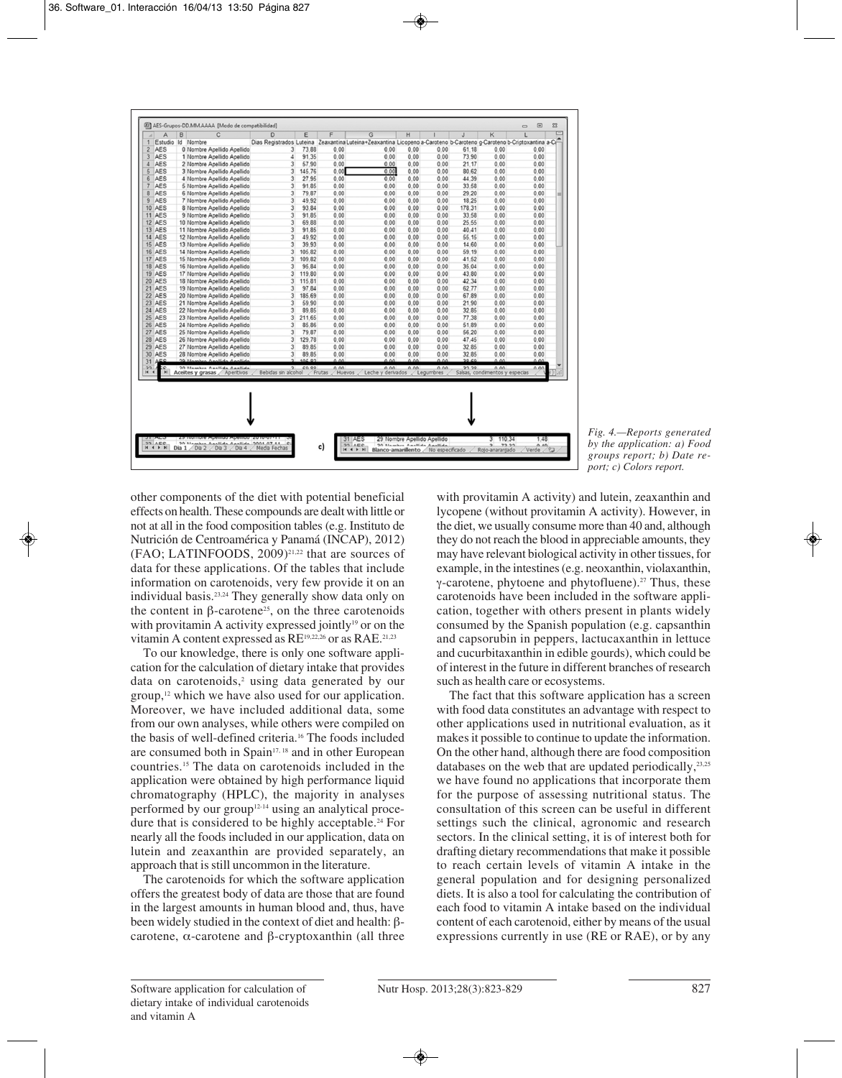| $\mathbf{1}$<br>$\overline{2}$<br>3 |            | в | C                                                            | D                                     | E      | F                        | G                                                                                            | H    |                   | J      | K                                      | ι    |   |
|-------------------------------------|------------|---|--------------------------------------------------------------|---------------------------------------|--------|--------------------------|----------------------------------------------------------------------------------------------|------|-------------------|--------|----------------------------------------|------|---|
|                                     |            |   | Estudio Id Nombre                                            | Dias Registrados Luteina              |        |                          | Zeaxantina Luteina+Zeaxantina Licopeno a-Caroteno b-Caroteno g-Caroteno b-Criptoxantina a-Ci |      |                   |        |                                        |      |   |
|                                     | <b>AES</b> |   | 0 Nombre Apellido Apellido                                   | 3                                     | 73.88  | 0.00                     | 0.00                                                                                         | 0.00 | 0.00              | 61.18  | 0.00                                   | 0.00 |   |
|                                     | <b>AES</b> |   | 1 Nombre Apellido Apellido                                   | 4                                     | 91.35  | 0.00                     | 0.00                                                                                         | 0.00 | 0.00              | 73.90  | 0.00                                   | 0.00 |   |
| $\overline{4}$                      | <b>AES</b> |   | 2 Nombre Apellido Apellido                                   | 3                                     | 57.90  | 0.00                     | 0.00                                                                                         | 0.00 | 0.00              | 21.17  | 0.00                                   | 0.00 |   |
| 5                                   | <b>AES</b> |   | 3 Nombre Apellido Apellido                                   | $\overline{\mathbf{3}}$               | 145.76 | 0.00                     | 0.00                                                                                         | 0.00 | 0.00              | 80.62  | 0.00                                   | 0.00 |   |
| 6                                   | <b>AES</b> |   | 4 Nombre Apellido Apellido                                   | 3                                     | 27.95  | 0.00                     | 0.00                                                                                         | 0.00 | 0.00              | 44.39  | 0.00                                   | 0.00 |   |
| 7                                   | <b>AES</b> |   | 5 Nombre Apellido Apellido                                   | 3                                     | 91.85  | 0.00                     | 0.00                                                                                         | 0.00 | 0.00              | 33.58  | 0.00                                   | 0.00 |   |
| 8                                   | <b>AES</b> |   | 6 Nombre Apellido Apellido                                   | 3                                     | 79.87  | 0.00                     | 0.00                                                                                         | 0.00 | 0.00              | 29.20  | 0.00                                   | 0.00 | ш |
| $\overline{9}$                      | <b>AES</b> |   | 7 Nombre Apellido Apellido                                   | 3                                     | 49.92  | 0.00                     | 0.00                                                                                         | 0.00 | 0.00              | 18.25  | 0.00                                   | 0.00 |   |
| 10 AES                              |            |   | 8 Nombre Apellido Apellido                                   | 3                                     | 93.84  | 0.00                     | 0.00                                                                                         | 0.00 | 0.00              | 178.31 | 0.00                                   | 0.00 |   |
| 11 AES                              |            |   | 9 Nombre Apellido Apellido                                   | 3                                     | 91.85  | 0.00                     | 0.00                                                                                         | 0.00 | 0.00              | 33.58  | 0.00                                   | 0.00 |   |
| 12 AES                              |            |   | 10 Nombre Apellido Apellido                                  | 3                                     | 69.88  | 0.00                     | 0.00                                                                                         | 0.00 | 0.00              | 25.55  | 0.00                                   | 0.00 |   |
| 13 AES                              |            |   | 11 Nombre Apellido Apellido                                  | 3                                     | 91.85  | 0.00                     | 0.00                                                                                         | 0.00 | 0.00              | 40.41  | 0.00                                   | 0.00 |   |
| 14 AES                              |            |   | 12 Nombre Apellido Apellido                                  | 3                                     | 49.92  | 0.00                     | 0.00                                                                                         | 0.00 | 0.00              | 55.15  | 0.00                                   | 0.00 |   |
| 15 AES                              |            |   | 13 Nombre Apellido Apellido                                  | 3                                     | 39.93  | 0.00                     | 0.00                                                                                         | 0.00 | 0.00              | 14.60  | 0.00                                   | 0.00 |   |
| 16 AES                              |            |   | 14 Nombre Apellido Apellido                                  | 3                                     | 105.82 | 0.00                     | 0.00                                                                                         | 0.00 | 0.00              | 59.19  | 0.00                                   | 0.00 |   |
| 17 AES                              |            |   | 15 Nombre Apellido Apellido                                  | $\overline{\mathbf{3}}$               | 109.82 | 0.00                     | 0.00                                                                                         | 0.00 | 0.00              | 41.52  | 0.00                                   | 0.00 |   |
| 18 AES                              |            |   | 16 Nombre Apellido Apellido                                  | 3                                     | 95.84  | 0.00                     | 0.00                                                                                         | 0.00 | 0.00              | 35.04  | 0.00                                   | 0.00 |   |
| 19 AES                              |            |   | 17 Nombre Apellido Apellido                                  | $\overline{\mathbf{3}}$               | 119.80 | 0.00                     | 0.00                                                                                         | 0.00 | 0.00              | 43.80  | 0.00                                   | 0.00 |   |
| 20 AES                              |            |   | 18 Nombre Apellido Apellido                                  | $\overline{3}$                        | 115.81 | 0.00                     | 0.00                                                                                         | 0.00 | 0.00              | 42.34  | 0.00                                   | 0.00 |   |
| 21 AES                              |            |   | 19 Nombre Apellido Apellido                                  | 3                                     | 97.84  | 0.00                     | 0.00                                                                                         | 0.00 | 0.00              | 62.77  | 0.00                                   | 0.00 |   |
| 22 AES                              |            |   | 20 Nombre Apellido Apellido                                  | $\overline{\mathbf{3}}$               | 185.69 | 0.00                     | 0.00                                                                                         | 0.00 | 0.00              | 67.89  | 0.00                                   | 0.00 |   |
| 23 AES                              |            |   | 21 Nombre Apellido Apellido                                  | 3                                     | 59.90  | 0.00                     | 0.00                                                                                         | 0.00 | 0.00              | 21.90  | 0.00                                   | 0.00 |   |
| 24 AES                              |            |   | 22 Nombre Apellido Apellido                                  | 3                                     | 89.85  | 0.00                     | 0.00                                                                                         | 0.00 | 0.00              | 32.85  | 0.00                                   | 0.00 |   |
| <b>25 AES</b>                       |            |   | 23 Nombre Apellido Apellido                                  | $\overline{3}$                        | 211.65 | 0.00                     | 0.00                                                                                         | 0.00 | 0.00              | 77.38  | 0.00                                   | 0.00 |   |
| <b>26 AES</b>                       |            |   | 24 Nombre Apellido Apellido                                  | 3                                     | 85.86  | 0.00                     | 0.00                                                                                         | 0.00 | 0.00              | 51.89  | 0.00                                   | 0.00 |   |
| 27 AES                              |            |   | 25 Nombre Apellido Apellido                                  | 3                                     | 79.87  | 0.00                     | 0.00                                                                                         | 0.00 | 0.00              | 56.20  | 0.00                                   | 0.00 |   |
| 28 AES                              |            |   | 26 Nombre Apellido Apellido                                  | $\overline{\mathbf{3}}$               | 129.78 | 0.00                     | 0.00                                                                                         | 0.00 | 0.00              | 47.45  | 0.00                                   | 0.00 |   |
| 29                                  | AES        |   | 27 Nombre Apellido Apellido                                  | 3                                     | 89.85  | 0.00                     | 0.00                                                                                         | 0.00 | 0.00              | 32.85  | 0.00                                   | 0.00 |   |
| 30                                  | AES        |   | 28 Nombre Apellido Apellido                                  | $\overline{\mathbf{3}}$               | 89.85  | 0.00                     | 0.00                                                                                         | 0.00 | 0.00              | 32.85  | 0.00                                   | 0.00 |   |
| 31                                  | AEC        |   | 20 Nambro Apollida Apollida                                  | ,                                     | 105.92 | 0.00                     | 0.00                                                                                         | 0.00 | 0.00              | 20.00  | 0.00                                   | 0.00 |   |
| 22<br>$\blacksquare$                | н          |   | 20 Mambre Anellida Anallida<br>Aceites y grasas / Aperitivos | $\overline{2}$<br>Bebidas sin alcohol | 0000   | 0.00<br>Frutas<br>Huevos | 0.00<br>Leche y derivados                                                                    | 0.00 | 0.00<br>Legumbres | 22.20  | 0.00<br>Salsas, condimentos y especias | 0.00 |   |

*Fig. 4.—Reports generated by the application: a) Food groups report; b) Date report; c) Colors report.*

other components of the diet with potential beneficial effects on health. These compounds are dealt with little or not at all in the food composition tables (e.g. Instituto de Nutrición de Centroamérica y Panamá (INCAP), 2012) (FAO; LATINFOODS, 2009)21,22 that are sources of data for these applications. Of the tables that include information on carotenoids, very few provide it on an individual basis.23,24 They generally show data only on the content in β-carotene<sup>25</sup>, on the three carotenoids with provitamin A activity expressed jointly<sup>19</sup> or on the vitamin A content expressed as RE<sup>19,22,26</sup> or as RAE.<sup>21,23</sup>

To our knowledge, there is only one software application for the calculation of dietary intake that provides data on carotenoids,<sup>2</sup> using data generated by our group,12 which we have also used for our application. Moreover, we have included additional data, some from our own analyses, while others were compiled on the basis of well-defined criteria.16 The foods included are consumed both in Spain17, 18 and in other European countries.15 The data on carotenoids included in the application were obtained by high performance liquid chromatography (HPLC), the majority in analyses performed by our group12-14 using an analytical procedure that is considered to be highly acceptable.<sup>24</sup> For nearly all the foods included in our application, data on lutein and zeaxanthin are provided separately, an approach that is still uncommon in the literature.

The carotenoids for which the software application offers the greatest body of data are those that are found in the largest amounts in human blood and, thus, have been widely studied in the context of diet and health: βcarotene, α-carotene and β-cryptoxanthin (all three with provitamin A activity) and lutein, zeaxanthin and lycopene (without provitamin A activity). However, in the diet, we usually consume more than 40 and, although they do not reach the blood in appreciable amounts, they may have relevant biological activity in other tissues, for example, in the intestines (e.g. neoxanthin, violaxanthin, γ-carotene, phytoene and phytofluene).27 Thus, these carotenoids have been included in the software application, together with others present in plants widely consumed by the Spanish population (e.g. capsanthin and capsorubin in peppers, lactucaxanthin in lettuce and cucurbitaxanthin in edible gourds), which could be of interest in the future in different branches of research such as health care or ecosystems.

The fact that this software application has a screen with food data constitutes an advantage with respect to other applications used in nutritional evaluation, as it makes it possible to continue to update the information. On the other hand, although there are food composition databases on the web that are updated periodically,<sup>23,25</sup> we have found no applications that incorporate them for the purpose of assessing nutritional status. The consultation of this screen can be useful in different settings such the clinical, agronomic and research sectors. In the clinical setting, it is of interest both for drafting dietary recommendations that make it possible to reach certain levels of vitamin A intake in the general population and for designing personalized diets. It is also a tool for calculating the contribution of each food to vitamin A intake based on the individual content of each carotenoid, either by means of the usual expressions currently in use (RE or RAE), or by any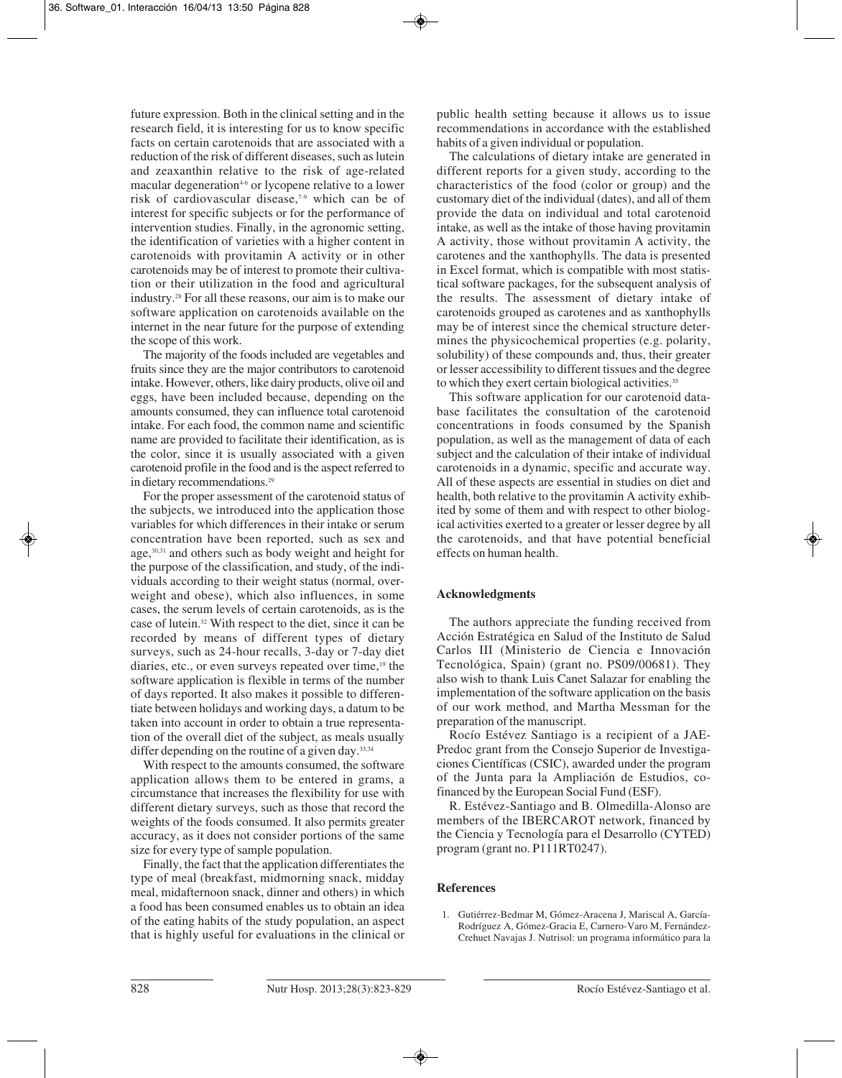future expression. Both in the clinical setting and in the research field, it is interesting for us to know specific facts on certain carotenoids that are associated with a reduction of the risk of different diseases, such as lutein and zeaxanthin relative to the risk of age-related macular degeneration<sup>4-6</sup> or lycopene relative to a lower risk of cardiovascular disease,7-9 which can be of interest for specific subjects or for the performance of intervention studies. Finally, in the agronomic setting, the identification of varieties with a higher content in carotenoids with provitamin A activity or in other carotenoids may be of interest to promote their cultivation or their utilization in the food and agricultural industry.28 For all these reasons, our aim is to make our software application on carotenoids available on the internet in the near future for the purpose of extending the scope of this work.

The majority of the foods included are vegetables and fruits since they are the major contributors to carotenoid intake. However, others, like dairy products, olive oil and eggs, have been included because, depending on the amounts consumed, they can influence total carotenoid intake. For each food, the common name and scientific name are provided to facilitate their identification, as is the color, since it is usually associated with a given carotenoid profile in the food and is the aspect referred to in dietary recommendations.<sup>29</sup>

For the proper assessment of the carotenoid status of the subjects, we introduced into the application those variables for which differences in their intake or serum concentration have been reported, such as sex and age,30,31 and others such as body weight and height for the purpose of the classification, and study, of the individuals according to their weight status (normal, overweight and obese), which also influences, in some cases, the serum levels of certain carotenoids, as is the case of lutein.32 With respect to the diet, since it can be recorded by means of different types of dietary surveys, such as 24-hour recalls, 3-day or 7-day diet diaries, etc., or even surveys repeated over time,<sup>19</sup> the software application is flexible in terms of the number of days reported. It also makes it possible to differentiate between holidays and working days, a datum to be taken into account in order to obtain a true representation of the overall diet of the subject, as meals usually differ depending on the routine of a given day.<sup>33,34</sup>

With respect to the amounts consumed, the software application allows them to be entered in grams, a circumstance that increases the flexibility for use with different dietary surveys, such as those that record the weights of the foods consumed. It also permits greater accuracy, as it does not consider portions of the same size for every type of sample population.

Finally, the fact that the application differentiates the type of meal (breakfast, midmorning snack, midday meal, midafternoon snack, dinner and others) in which a food has been consumed enables us to obtain an idea of the eating habits of the study population, an aspect that is highly useful for evaluations in the clinical or

public health setting because it allows us to issue recommendations in accordance with the established habits of a given individual or population.

The calculations of dietary intake are generated in different reports for a given study, according to the characteristics of the food (color or group) and the customary diet of the individual (dates), and all of them provide the data on individual and total carotenoid intake, as well as the intake of those having provitamin A activity, those without provitamin A activity, the carotenes and the xanthophylls. The data is presented in Excel format, which is compatible with most statistical software packages, for the subsequent analysis of the results. The assessment of dietary intake of carotenoids grouped as carotenes and as xanthophylls may be of interest since the chemical structure determines the physicochemical properties (e.g. polarity, solubility) of these compounds and, thus, their greater or lesser accessibility to different tissues and the degree to which they exert certain biological activities.<sup>35</sup>

This software application for our carotenoid database facilitates the consultation of the carotenoid concentrations in foods consumed by the Spanish population, as well as the management of data of each subject and the calculation of their intake of individual carotenoids in a dynamic, specific and accurate way. All of these aspects are essential in studies on diet and health, both relative to the provitamin A activity exhibited by some of them and with respect to other biological activities exerted to a greater or lesser degree by all the carotenoids, and that have potential beneficial effects on human health.

# **Acknowledgments**

The authors appreciate the funding received from Acción Estratégica en Salud of the Instituto de Salud Carlos III (Ministerio de Ciencia e Innovación Tecnológica, Spain) (grant no. PS09/00681). They also wish to thank Luis Canet Salazar for enabling the implementation of the software application on the basis of our work method, and Martha Messman for the preparation of the manuscript.

Rocío Estévez Santiago is a recipient of a JAE-Predoc grant from the Consejo Superior de Investigaciones Científicas (CSIC), awarded under the program of the Junta para la Ampliación de Estudios, cofinanced by the European Social Fund (ESF).

R. Estévez-Santiago and B. Olmedilla-Alonso are members of the IBERCAROT network, financed by the Ciencia y Tecnología para el Desarrollo (CYTED) program (grant no. P111RT0247).

# **References**

1. Gutiérrez-Bedmar M, Gómez-Aracena J, Mariscal A, García-Rodríguez A, Gómez-Gracia E, Carnero-Varo M, Fernández-Crehuet Navajas J. Nutrisol: un programa informático para la